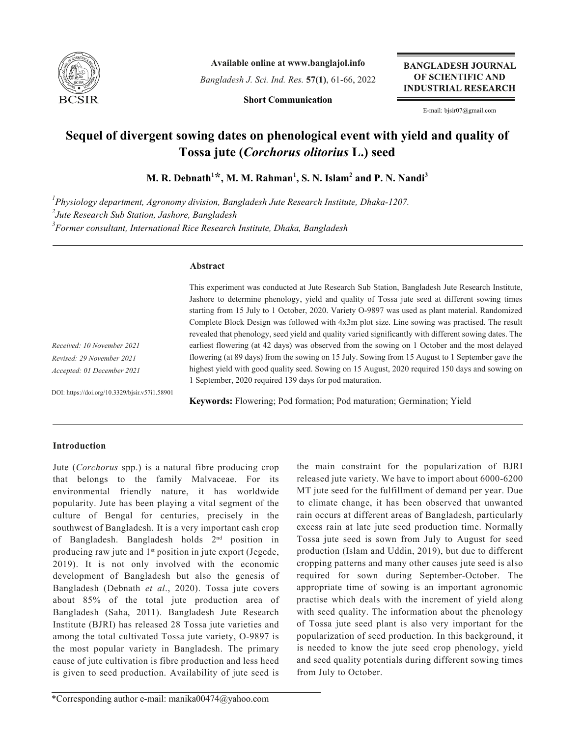

**Available online at www.banglajol.info**

*Bangladesh J. Sci. Ind. Res.* **57(1)**, 61-66, 2022

**Short Communication**

**BANGLADESH JOURNAL** OF SCIENTIFIC AND **INDUSTRIAL RESEARCH** 

E-mail: bjsir07@gmail.com

# **Sequel of divergent sowing dates on phenological event with yield and quality of Tossa jute (***Corchorus olitorius* **L.) seed**

 $\mathbf{M}$ . R. Debnath<sup>1\*,</sup> , M. M. Rahman<sup>1</sup>, S. N. Islam<sup>2</sup> and P. N. Nandi<sup>3</sup>

*1 Physiology department, Agronomy division, Bangladesh Jute Research Institute, Dhaka-1207. 2 Jute Research Sub Station, Jashore, Bangladesh 3 Former consultant, International Rice Research Institute, Dhaka, Bangladesh*

## **Abstract**

This experiment was conducted at Jute Research Sub Station, Bangladesh Jute Research Institute, Jashore to determine phenology, yield and quality of Tossa jute seed at different sowing times starting from 15 July to 1 October, 2020. Variety O-9897 was used as plant material. Randomized Complete Block Design was followed with 4x3m plot size. Line sowing was practised. The result revealed that phenology, seed yield and quality varied significantly with different sowing dates. The earliest flowering (at 42 days) was observed from the sowing on 1 October and the most delayed flowering (at 89 days) from the sowing on 15 July. Sowing from 15 August to 1 September gave the highest yield with good quality seed. Sowing on 15 August, 2020 required 150 days and sowing on 1 September, 2020 required 139 days for pod maturation.

*Received: 10 November 2021 Revised: 29 November 2021 Accepted: 01 December 2021*

DOI: https://doi.org/10.3329/bjsir.v57i1.58901

**Keywords:** Flowering; Pod formation; Pod maturation; Germination; Yield

## **Introduction**

Jute (*Corchorus* spp.) is a natural fibre producing crop that belongs to the family Malvaceae. For its environmental friendly nature, it has worldwide popularity. Jute has been playing a vital segment of the culture of Bengal for centuries, precisely in the southwest of Bangladesh. It is a very important cash crop of Bangladesh. Bangladesh holds 2nd position in producing raw jute and 1<sup>st</sup> position in jute export (Jegede, 2019). It is not only involved with the economic development of Bangladesh but also the genesis of Bangladesh (Debnath *et al*., 2020). Tossa jute covers about 85% of the total jute production area of Bangladesh (Saha, 2011). Bangladesh Jute Research Institute (BJRI) has released 28 Tossa jute varieties and among the total cultivated Tossa jute variety, O-9897 is the most popular variety in Bangladesh. The primary cause of jute cultivation is fibre production and less heed is given to seed production. Availability of jute seed is

the main constraint for the popularization of BJRI released jute variety. We have to import about 6000-6200 MT jute seed for the fulfillment of demand per year. Due to climate change, it has been observed that unwanted rain occurs at different areas of Bangladesh, particularly excess rain at late jute seed production time. Normally Tossa jute seed is sown from July to August for seed production (Islam and Uddin, 2019), but due to different cropping patterns and many other causes jute seed is also required for sown during September-October. The appropriate time of sowing is an important agronomic practise which deals with the increment of yield along with seed quality. The information about the phenology of Tossa jute seed plant is also very important for the popularization of seed production. In this background, it is needed to know the jute seed crop phenology, yield and seed quality potentials during different sowing times from July to October.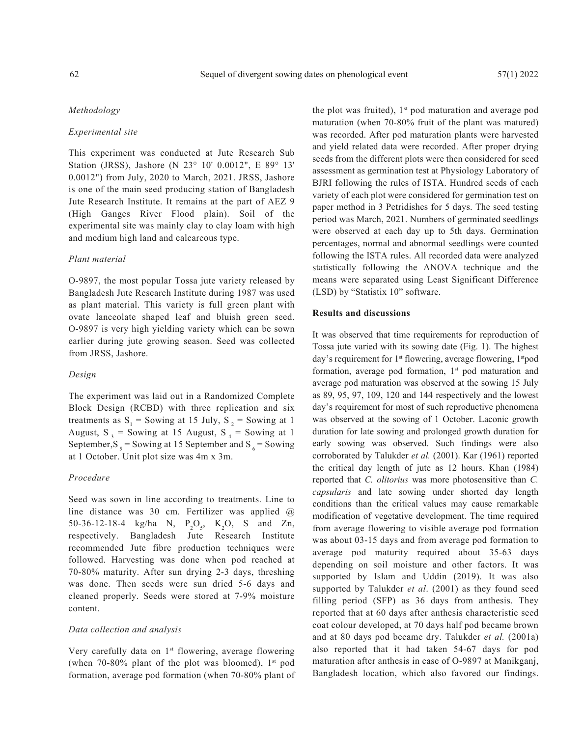## *Methodology*

## *Experimental site*

This experiment was conducted at Jute Research Sub Station (JRSS), Jashore (N 23° 10' 0.0012", E 89° 13' 0.0012") from July, 2020 to March, 2021. JRSS, Jashore is one of the main seed producing station of Bangladesh Jute Research Institute. It remains at the part of AEZ 9 (High Ganges River Flood plain). Soil of the experimental site was mainly clay to clay loam with high and medium high land and calcareous type.

### *Plant material*

O-9897, the most popular Tossa jute variety released by Bangladesh Jute Research Institute during 1987 was used as plant material. This variety is full green plant with ovate lanceolate shaped leaf and bluish green seed. O-9897 is very high yielding variety which can be sown earlier during jute growing season. Seed was collected from JRSS, Jashore.

#### *Design*

The experiment was laid out in a Randomized Complete Block Design (RCBD) with three replication and six treatments as  $S_1$  = Sowing at 15 July,  $S_2$  = Sowing at 1 August,  $S_3$  = Sowing at 15 August,  $S_4$  = Sowing at 1 September,  $S_5$  = Sowing at 15 September and  $S_6$  = Sowing at 1 October. Unit plot size was 4m x 3m.

#### *Procedure*

Seed was sown in line according to treatments. Line to line distance was 30 cm. Fertilizer was applied @ 50-36-12-18-4 kg/ha N,  $P_2O_5$ , K<sub>2</sub>O, S and Zn, respectively. Bangladesh Jute Research Institute recommended Jute fibre production techniques were followed. Harvesting was done when pod reached at 70-80% maturity. After sun drying 2-3 days, threshing was done. Then seeds were sun dried 5-6 days and cleaned properly. Seeds were stored at 7-9% moisture content.

#### *Data collection and analysis*

Very carefully data on 1<sup>st</sup> flowering, average flowering (when 70-80% plant of the plot was bloomed),  $1<sup>st</sup>$  pod formation, average pod formation (when 70-80% plant of the plot was fruited),  $1<sup>st</sup>$  pod maturation and average pod maturation (when 70-80% fruit of the plant was matured) was recorded. After pod maturation plants were harvested and yield related data were recorded. After proper drying seeds from the different plots were then considered for seed assessment as germination test at Physiology Laboratory of BJRI following the rules of ISTA. Hundred seeds of each variety of each plot were considered for germination test on paper method in 3 Petridishes for 5 days. The seed testing period was March, 2021. Numbers of germinated seedlings were observed at each day up to 5th days. Germination percentages, normal and abnormal seedlings were counted following the ISTA rules. All recorded data were analyzed statistically following the ANOVA technique and the means were separated using Least Significant Difference (LSD) by "Statistix 10" software.

#### **Results and discussions**

It was observed that time requirements for reproduction of Tossa jute varied with its sowing date (Fig. 1). The highest day's requirement for 1<sup>st</sup> flowering, average flowering, 1<sup>st</sup>pod formation, average pod formation,  $1<sup>st</sup>$  pod maturation and average pod maturation was observed at the sowing 15 July as 89, 95, 97, 109, 120 and 144 respectively and the lowest day's requirement for most of such reproductive phenomena was observed at the sowing of 1 October. Laconic growth duration for late sowing and prolonged growth duration for early sowing was observed. Such findings were also corroborated by Talukder *et al.* (2001). Kar (1961) reported the critical day length of jute as 12 hours. Khan (1984) reported that *C. olitorius* was more photosensitive than *C. capsularis* and late sowing under shorted day length conditions than the critical values may cause remarkable modification of vegetative development. The time required from average flowering to visible average pod formation was about 03-15 days and from average pod formation to average pod maturity required about 35-63 days depending on soil moisture and other factors. It was supported by Islam and Uddin (2019). It was also supported by Talukder *et al*. (2001) as they found seed filling period (SFP) as 36 days from anthesis. They reported that at 60 days after anthesis characteristic seed coat colour developed, at 70 days half pod became brown and at 80 days pod became dry. Talukder *et al.* (2001a) also reported that it had taken 54-67 days for pod maturation after anthesis in case of O-9897 at Manikganj, Bangladesh location, which also favored our findings.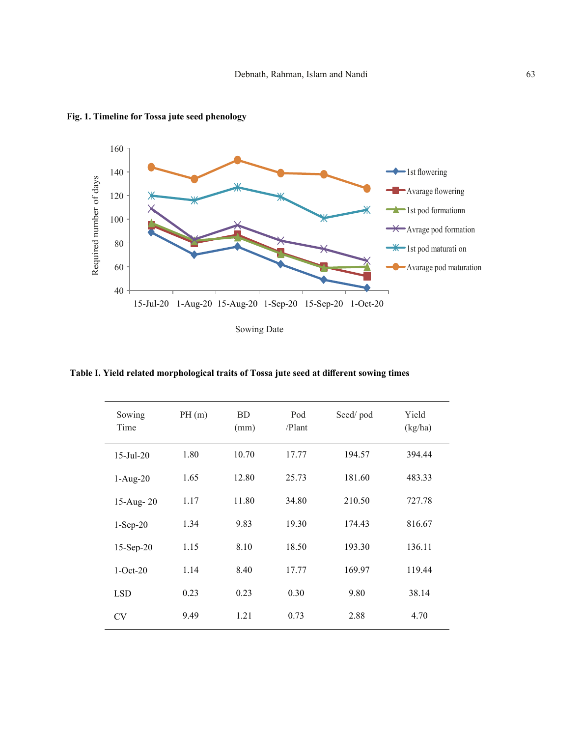

**Fig. 1. Timeline for Tossa jute seed phenology**

Sowing Date

**Table I. Yield related morphological traits of Tossa jute seed at different sowing times**

| Sowing<br>Time | PH(m) | <b>BD</b><br>(mm) | Pod<br>/Plant | Seed/pod | Yield<br>(kg/ha) |
|----------------|-------|-------------------|---------------|----------|------------------|
| $15$ -Jul-20   | 1.80  | 10.70             | 17.77         | 194.57   | 394.44           |
| $1-Aug-20$     | 1.65  | 12.80             | 25.73         | 181.60   | 483.33           |
| 15-Aug-20      | 1.17  | 11.80             | 34.80         | 210.50   | 727.78           |
| $1-Sep-20$     | 1.34  | 9.83              | 19.30         | 174.43   | 816.67           |
| $15-Sep-20$    | 1.15  | 8.10              | 18.50         | 193.30   | 136.11           |
| $1-Oct-20$     | 1.14  | 8.40              | 17.77         | 169.97   | 119.44           |
| <b>LSD</b>     | 0.23  | 0.23              | 0.30          | 9.80     | 38.14            |
| <b>CV</b>      | 9.49  | 1.21              | 0.73          | 2.88     | 4.70             |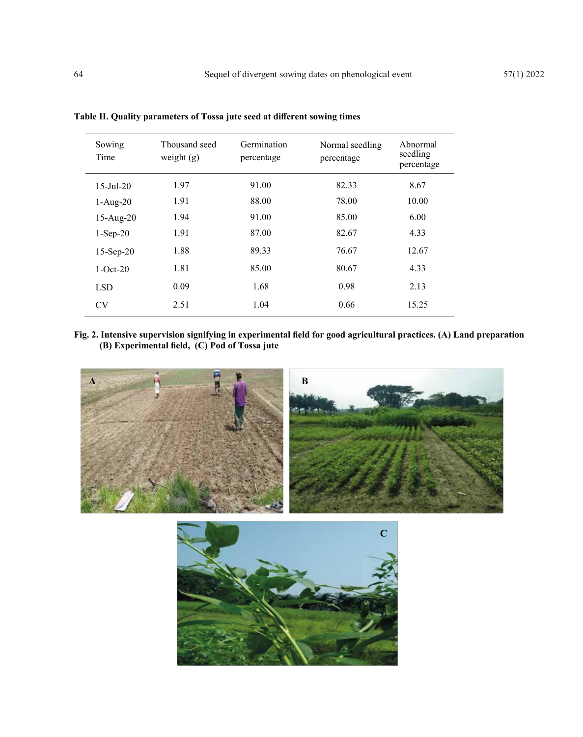| Sowing<br>Time         | Thousand seed<br>weight $(g)$ | Germination<br>percentage | Normal seedling<br>percentage | Abnormal<br>seedling<br>percentage |
|------------------------|-------------------------------|---------------------------|-------------------------------|------------------------------------|
| $15 - \text{Jul} - 20$ | 1.97                          | 91.00                     | 82.33                         | 8.67                               |
| $1-Aug-20$             | 1.91                          | 88.00                     | 78.00                         | 10.00                              |
| $15-Aug-20$            | 1.94                          | 91.00                     | 85.00                         | 6.00                               |
| $1-Sep-20$             | 1.91                          | 87.00                     | 82.67                         | 4.33                               |
| $15-Sep-20$            | 1.88                          | 89.33                     | 76.67                         | 12.67                              |
| $1-Oct-20$             | 1.81                          | 85.00                     | 80.67                         | 4.33                               |
| <b>LSD</b>             | 0.09                          | 1.68                      | 0.98                          | 2.13                               |
| <b>CV</b>              | 2.51                          | 1.04                      | 0.66                          | 15.25                              |

**Table II. Quality parameters of Tossa jute seed at different sowing times**

**Fig. 2. Intensive supervision signifying in experimental field for good agricultural practices. (A) Land preparation (B) Experimental field, (C) Pod of Tossa jute**



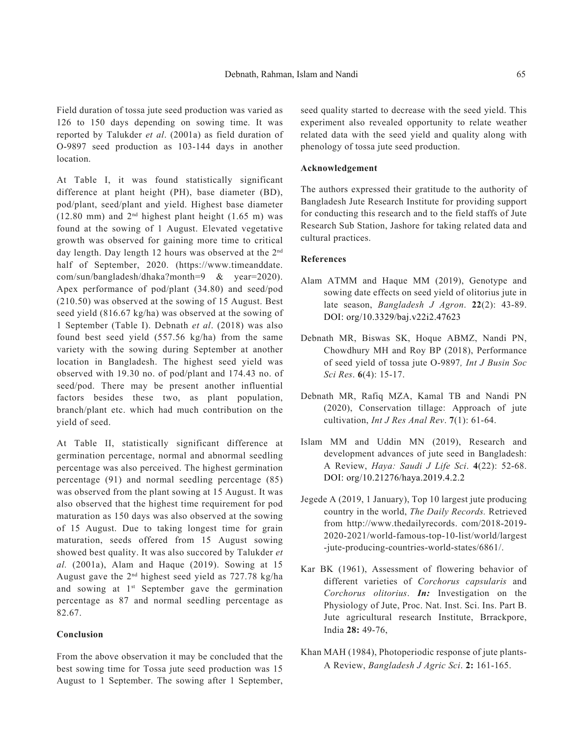Field duration of tossa jute seed production was varied as 126 to 150 days depending on sowing time. It was reported by Talukder *et al*. (2001a) as field duration of O-9897 seed production as 103-144 days in another location.

At Table I, it was found statistically significant difference at plant height (PH), base diameter (BD), pod/plant, seed/plant and yield. Highest base diameter (12.80 mm) and  $2<sup>nd</sup>$  highest plant height (1.65 m) was found at the sowing of 1 August. Elevated vegetative growth was observed for gaining more time to critical day length. Day length 12 hours was observed at the 2<sup>nd</sup> half of September, 2020. (https://www.timeanddate. com/sun/bangladesh/dhaka?month=9 & year=2020). Apex performance of pod/plant (34.80) and seed/pod (210.50) was observed at the sowing of 15 August. Best seed yield (816.67 kg/ha) was observed at the sowing of 1 September (Table I). Debnath *et al*. (2018) was also found best seed yield (557.56 kg/ha) from the same variety with the sowing during September at another location in Bangladesh. The highest seed yield was observed with 19.30 no. of pod/plant and 174.43 no. of seed/pod. There may be present another influential factors besides these two, as plant population, branch/plant etc. which had much contribution on the yield of seed.

At Table II, statistically significant difference at germination percentage, normal and abnormal seedling percentage was also perceived. The highest germination percentage (91) and normal seedling percentage (85) was observed from the plant sowing at 15 August. It was also observed that the highest time requirement for pod maturation as 150 days was also observed at the sowing of 15 August. Due to taking longest time for grain maturation, seeds offered from 15 August sowing showed best quality. It was also succored by Talukder *et al.* (2001a), Alam and Haque (2019). Sowing at 15 August gave the 2nd highest seed yield as 727.78 kg/ha and sowing at 1<sup>st</sup> September gave the germination percentage as 87 and normal seedling percentage as 82.67.

## **Conclusion**

From the above observation it may be concluded that the best sowing time for Tossa jute seed production was 15 August to 1 September. The sowing after 1 September,

seed quality started to decrease with the seed yield. This experiment also revealed opportunity to relate weather related data with the seed yield and quality along with phenology of tossa jute seed production.

## **Acknowledgement**

The authors expressed their gratitude to the authority of Bangladesh Jute Research Institute for providing support for conducting this research and to the field staffs of Jute Research Sub Station, Jashore for taking related data and cultural practices.

#### **References**

- Alam ATMM and Haque MM (2019), Genotype and sowing date effects on seed yield of olitorius jute in late season, *Bangladesh J Agron*. **22**(2): 43-89. DOI: org/10.3329/baj.v22i2.47623
- Debnath MR, Biswas SK, Hoque ABMZ, Nandi PN, Chowdhury MH and Roy BP (2018), Performance of seed yield of tossa jute O-9897*, Int J Busin Soc Sci Res*. **6**(4): 15-17.
- Debnath MR, Rafiq MZA, Kamal TB and Nandi PN (2020), Conservation tillage: Approach of jute cultivation, *Int J Res Anal Rev*. **7**(1): 61-64.
- Islam MM and Uddin MN (2019), Research and development advances of jute seed in Bangladesh: A Review, *Haya: Saudi J Life Sci*. **4**(22): 52-68. DOI: org/10.21276/haya.2019.4.2.2
- Jegede A (2019, 1 January), Top 10 largest jute producing country in the world, *The Daily Records.* Retrieved from http://www.thedailyrecords. com/2018-2019- 2020-2021/world-famous-top-10-list/world/largest -jute-producing-countries-world-states/6861/.
- Kar BK (1961), Assessment of flowering behavior of different varieties of *Corchorus capsularis* and *Corchorus olitorius*. *In:* Investigation on the Physiology of Jute, Proc. Nat. Inst. Sci. Ins. Part B. Jute agricultural research Institute, Brrackpore, India **28:** 49-76,
- Khan MAH (1984), Photoperiodic response of jute plants-A Review, *Bangladesh J Agric Sci*. **2:** 161-165.